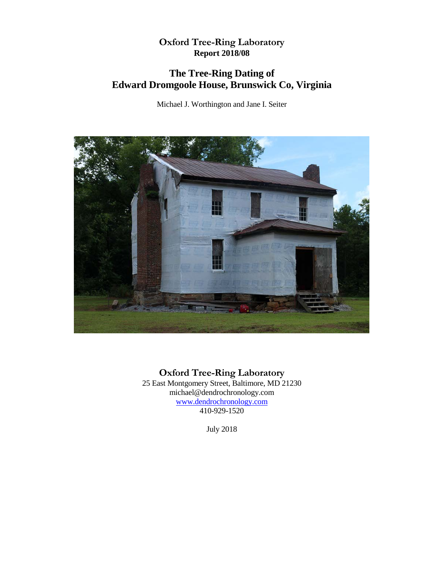## **Oxford Tree-Ring Laboratory Report 2018/08**

# **The Tree-Ring Dating of Edward Dromgoole House, Brunswick Co, Virginia**

Michael J. Worthington and Jane I. Seiter



**Oxford Tree-Ring Laboratory**

25 East Montgomery Street, Baltimore, MD 21230 michael@dendrochronology.com [www.dendrochronology.com](http://www.dendrochronology.com/) 410-929-1520

July 2018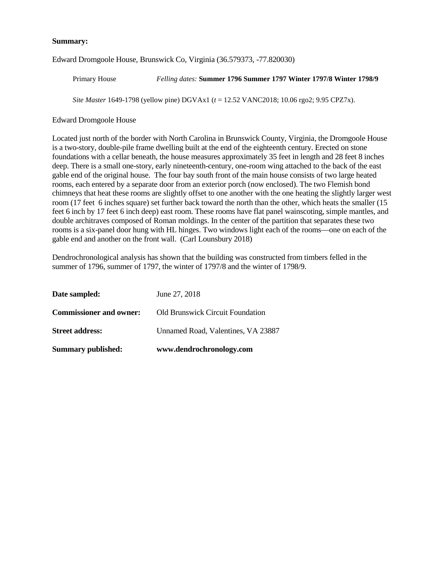#### **Summary:**

Edward Dromgoole House, Brunswick Co, Virginia (36.579373, -77.820030)

Primary House *Felling dates:* **Summer 1796 Summer 1797 Winter 1797/8 Winter 1798/9** 

*Site Master* 1649-1798 (yellow pine) DGVAx1 (*t* = 12.52 VANC2018; 10.06 rgo2; 9.95 CPZ7x).

Edward Dromgoole House

Located just north of the border with North Carolina in Brunswick County, Virginia, the Dromgoole House is a two-story, double-pile frame dwelling built at the end of the eighteenth century. Erected on stone foundations with a cellar beneath, the house measures approximately 35 feet in length and 28 feet 8 inches deep. There is a small one-story, early nineteenth-century, one-room wing attached to the back of the east gable end of the original house. The four bay south front of the main house consists of two large heated rooms, each entered by a separate door from an exterior porch (now enclosed). The two Flemish bond chimneys that heat these rooms are slightly offset to one another with the one heating the slightly larger west room (17 feet 6 inches square) set further back toward the north than the other, which heats the smaller (15 feet 6 inch by 17 feet 6 inch deep) east room. These rooms have flat panel wainscoting, simple mantles, and double architraves composed of Roman moldings. In the center of the partition that separates these two rooms is a six-panel door hung with HL hinges. Two windows light each of the rooms—one on each of the gable end and another on the front wall. (Carl Lounsbury 2018)

Dendrochronological analysis has shown that the building was constructed from timbers felled in the summer of 1796, summer of 1797, the winter of 1797/8 and the winter of 1798/9.

| <b>Summary published:</b>      | www.dendrochronology.com           |
|--------------------------------|------------------------------------|
| <b>Street address:</b>         | Unnamed Road, Valentines, VA 23887 |
| <b>Commissioner and owner:</b> | Old Brunswick Circuit Foundation   |
| Date sampled:                  | June 27, 2018                      |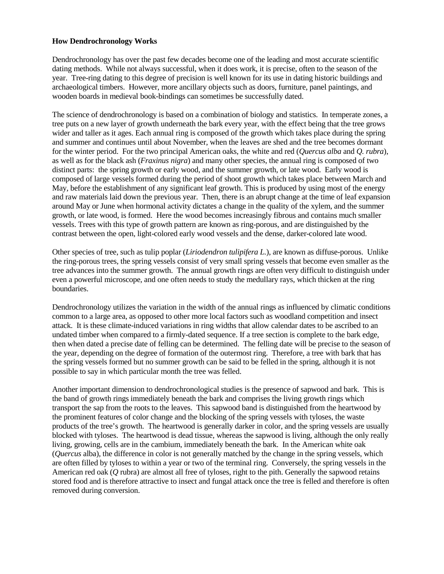#### **How Dendrochronology Works**

Dendrochronology has over the past few decades become one of the leading and most accurate scientific dating methods. While not always successful, when it does work, it is precise, often to the season of the year. Tree-ring dating to this degree of precision is well known for its use in dating historic buildings and archaeological timbers. However, more ancillary objects such as doors, furniture, panel paintings, and wooden boards in medieval book-bindings can sometimes be successfully dated.

The science of dendrochronology is based on a combination of biology and statistics. In temperate zones, a tree puts on a new layer of growth underneath the bark every year, with the effect being that the tree grows wider and taller as it ages. Each annual ring is composed of the growth which takes place during the spring and summer and continues until about November, when the leaves are shed and the tree becomes dormant for the winter period. For the two principal American oaks, the white and red (*Quercus alba* and *Q. rubra*), as well as for the black ash (*Fraxinus nigra*) and many other species, the annual ring is composed of two distinct parts: the spring growth or early wood, and the summer growth, or late wood. Early wood is composed of large vessels formed during the period of shoot growth which takes place between March and May, before the establishment of any significant leaf growth. This is produced by using most of the energy and raw materials laid down the previous year. Then, there is an abrupt change at the time of leaf expansion around May or June when hormonal activity dictates a change in the quality of the xylem, and the summer growth, or late wood, is formed. Here the wood becomes increasingly fibrous and contains much smaller vessels. Trees with this type of growth pattern are known as ring-porous, and are distinguished by the contrast between the open, light-colored early wood vessels and the dense, darker-colored late wood.

Other species of tree, such as tulip poplar (*Liriodendron tulipifera L.*), are known as diffuse-porous. Unlike the ring-porous trees, the spring vessels consist of very small spring vessels that become even smaller as the tree advances into the summer growth. The annual growth rings are often very difficult to distinguish under even a powerful microscope, and one often needs to study the medullary rays, which thicken at the ring boundaries.

Dendrochronology utilizes the variation in the width of the annual rings as influenced by climatic conditions common to a large area, as opposed to other more local factors such as woodland competition and insect attack. It is these climate-induced variations in ring widths that allow calendar dates to be ascribed to an undated timber when compared to a firmly-dated sequence. If a tree section is complete to the bark edge, then when dated a precise date of felling can be determined. The felling date will be precise to the season of the year, depending on the degree of formation of the outermost ring. Therefore, a tree with bark that has the spring vessels formed but no summer growth can be said to be felled in the spring, although it is not possible to say in which particular month the tree was felled.

Another important dimension to dendrochronological studies is the presence of sapwood and bark. This is the band of growth rings immediately beneath the bark and comprises the living growth rings which transport the sap from the roots to the leaves. This sapwood band is distinguished from the heartwood by the prominent features of color change and the blocking of the spring vessels with tyloses, the waste products of the tree's growth. The heartwood is generally darker in color, and the spring vessels are usually blocked with tyloses. The heartwood is dead tissue, whereas the sapwood is living, although the only really living, growing, cells are in the cambium, immediately beneath the bark. In the American white oak (*Quercus* alba), the difference in color is not generally matched by the change in the spring vessels, which are often filled by tyloses to within a year or two of the terminal ring. Conversely, the spring vessels in the American red oak (*Q* rubra) are almost all free of tyloses, right to the pith. Generally the sapwood retains stored food and is therefore attractive to insect and fungal attack once the tree is felled and therefore is often removed during conversion.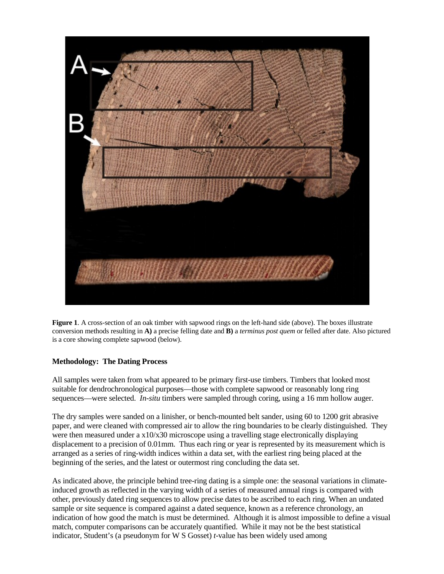

**Figure 1**. A cross-section of an oak timber with sapwood rings on the left-hand side (above). The boxes illustrate conversion methods resulting in **A)** a precise felling date and **B)** a *terminus post quem* or felled after date. Also pictured is a core showing complete sapwood (below).

### **Methodology: The Dating Process**

All samples were taken from what appeared to be primary first-use timbers. Timbers that looked most suitable for dendrochronological purposes—those with complete sapwood or reasonably long ring sequences—were selected. *In-situ* timbers were sampled through coring, using a 16 mm hollow auger.

The dry samples were sanded on a linisher, or bench-mounted belt sander, using 60 to 1200 grit abrasive paper, and were cleaned with compressed air to allow the ring boundaries to be clearly distinguished. They were then measured under a  $x10/x30$  microscope using a travelling stage electronically displaying displacement to a precision of 0.01mm. Thus each ring or year is represented by its measurement which is arranged as a series of ring-width indices within a data set, with the earliest ring being placed at the beginning of the series, and the latest or outermost ring concluding the data set.

As indicated above, the principle behind tree-ring dating is a simple one: the seasonal variations in climateinduced growth as reflected in the varying width of a series of measured annual rings is compared with other, previously dated ring sequences to allow precise dates to be ascribed to each ring. When an undated sample or site sequence is compared against a dated sequence, known as a reference chronology, an indication of how good the match is must be determined. Although it is almost impossible to define a visual match, computer comparisons can be accurately quantified. While it may not be the best statistical indicator, Student's (a pseudonym for W S Gosset) *t*-value has been widely used among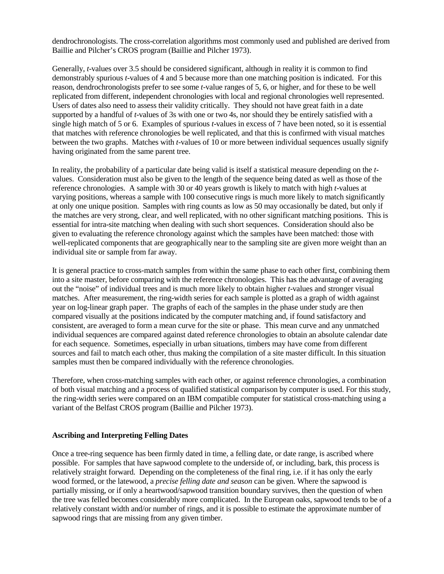dendrochronologists. The cross-correlation algorithms most commonly used and published are derived from Baillie and Pilcher's CROS program (Baillie and Pilcher 1973).

Generally, *t*-values over 3.5 should be considered significant, although in reality it is common to find demonstrably spurious *t*-values of 4 and 5 because more than one matching position is indicated. For this reason, dendrochronologists prefer to see some *t*-value ranges of 5, 6, or higher, and for these to be well replicated from different, independent chronologies with local and regional chronologies well represented. Users of dates also need to assess their validity critically. They should not have great faith in a date supported by a handful of *t*-values of 3s with one or two 4s, nor should they be entirely satisfied with a single high match of 5 or 6. Examples of spurious *t*-values in excess of 7 have been noted, so it is essential that matches with reference chronologies be well replicated, and that this is confirmed with visual matches between the two graphs. Matches with *t*-values of 10 or more between individual sequences usually signify having originated from the same parent tree.

In reality, the probability of a particular date being valid is itself a statistical measure depending on the *t*values. Consideration must also be given to the length of the sequence being dated as well as those of the reference chronologies. A sample with 30 or 40 years growth is likely to match with high *t*-values at varying positions, whereas a sample with 100 consecutive rings is much more likely to match significantly at only one unique position. Samples with ring counts as low as 50 may occasionally be dated, but only if the matches are very strong, clear, and well replicated, with no other significant matching positions. This is essential for intra-site matching when dealing with such short sequences. Consideration should also be given to evaluating the reference chronology against which the samples have been matched: those with well-replicated components that are geographically near to the sampling site are given more weight than an individual site or sample from far away.

It is general practice to cross-match samples from within the same phase to each other first, combining them into a site master, before comparing with the reference chronologies. This has the advantage of averaging out the "noise" of individual trees and is much more likely to obtain higher *t*-values and stronger visual matches. After measurement, the ring-width series for each sample is plotted as a graph of width against year on log-linear graph paper. The graphs of each of the samples in the phase under study are then compared visually at the positions indicated by the computer matching and, if found satisfactory and consistent, are averaged to form a mean curve for the site or phase. This mean curve and any unmatched individual sequences are compared against dated reference chronologies to obtain an absolute calendar date for each sequence. Sometimes, especially in urban situations, timbers may have come from different sources and fail to match each other, thus making the compilation of a site master difficult. In this situation samples must then be compared individually with the reference chronologies.

Therefore, when cross-matching samples with each other, or against reference chronologies, a combination of both visual matching and a process of qualified statistical comparison by computer is used. For this study, the ring-width series were compared on an IBM compatible computer for statistical cross-matching using a variant of the Belfast CROS program (Baillie and Pilcher 1973).

#### **Ascribing and Interpreting Felling Dates**

Once a tree-ring sequence has been firmly dated in time, a felling date, or date range, is ascribed where possible. For samples that have sapwood complete to the underside of, or including, bark, this process is relatively straight forward. Depending on the completeness of the final ring, i.e. if it has only the early wood formed, or the latewood, a *precise felling date and season* can be given. Where the sapwood is partially missing, or if only a heartwood/sapwood transition boundary survives, then the question of when the tree was felled becomes considerably more complicated. In the European oaks, sapwood tends to be of a relatively constant width and/or number of rings, and it is possible to estimate the approximate number of sapwood rings that are missing from any given timber.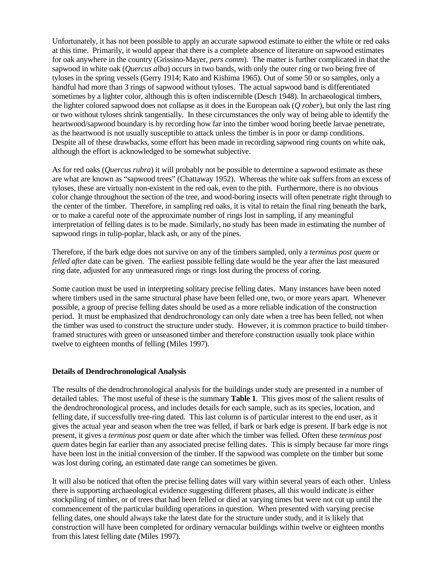Unfortunately, it has not been possible to apply an accurate sapwood estimate to either the white or red oaks at this time. Primarily, it would appear that there is a complete absence of literature on sapwood estimates for oak anywhere in the country (Grissino-Mayer, *pers comm*). The matter is further complicated in that the sapwood in white oak (*Quercus alba*) occurs in two bands, with only the outer ring or two being free of tyloses in the spring vessels (Gerry 1914; Kato and Kishima 1965). Out of some 50 or so samples, only a handful had more than 3 rings of sapwood without tyloses. The actual sapwood band is differentiated sometimes by a lighter color, although this is often indiscernible (Desch 1948). In archaeological timbers, the lighter colored sapwood does not collapse as it does in the European oak (*Q rober*), but only the last ring or two without tyloses shrink tangentially. In these circumstances the only way of being able to identify the heartwood/sapwood boundary is by recording how far into the timber wood boring beetle larvae penetrate, as the heartwood is not usually susceptible to attack unless the timber is in poor or damp conditions. Despite all of these drawbacks, some effort has been made in recording sapwood ring counts on white oak, although the effort is acknowledged to be somewhat subjective.

As for red oaks (*Quercus rubra*) it will probably not be possible to determine a sapwood estimate as these are what are known as "sapwood trees" (Chattaway 1952). Whereas the white oak suffers from an excess of tyloses, these are virtually non-existent in the red oak, even to the pith. Furthermore, there is no obvious color change throughout the section of the tree, and wood-boring insects will often penetrate right through to the center of the timber. Therefore, in sampling red oaks, it is vital to retain the final ring beneath the bark, or to make a careful note of the approximate number of rings lost in sampling, if any meaningful interpretation of felling dates is to be made. Similarly, no study has been made in estimating the number of sapwood rings in tulip-poplar, black ash, or any of the pines.

Therefore, if the bark edge does not survive on any of the timbers sampled, only a *terminus post quem* or *felled after* date can be given. The earliest possible felling date would be the year after the last measured ring date, adjusted for any unmeasured rings or rings lost during the process of coring.

Some caution must be used in interpreting solitary precise felling dates. Many instances have been noted where timbers used in the same structural phase have been felled one, two, or more years apart. Whenever possible, a group of precise felling dates should be used as a more reliable indication of the construction period. It must be emphasized that dendrochronology can only date when a tree has been felled, not when the timber was used to construct the structure under study. However, it is common practice to build timberframed structures with green or unseasoned timber and therefore construction usually took place within twelve to eighteen months of felling (Miles 1997).

### **Details of Dendrochronological Analysis**

The results of the dendrochronological analysis for the buildings under study are presented in a number of detailed tables. The most useful of these is the summary **Table 1**. This gives most of the salient results of the dendrochronological process, and includes details for each sample, such as its species, location, and felling date, if successfully tree-ring dated. This last column is of particular interest to the end user, as it gives the actual year and season when the tree was felled, if bark or bark edge is present. If bark edge is not present, it gives a *terminus post quem* or date after which the timber was felled. Often these *terminus post quem* dates begin far earlier than any associated precise felling dates. This is simply because far more rings have been lost in the initial conversion of the timber. If the sapwood was complete on the timber but some was lost during coring, an estimated date range can sometimes be given.

It will also be noticed that often the precise felling dates will vary within several years of each other. Unless there is supporting archaeological evidence suggesting different phases, all this would indicate is either stockpiling of timber, or of trees that had been felled or died at varying times but were not cut up until the commencement of the particular building operations in question. When presented with varying precise felling dates, one should always take the latest date for the structure under study, and it is likely that construction will have been completed for ordinary vernacular buildings within twelve or eighteen months from this latest felling date (Miles 1997).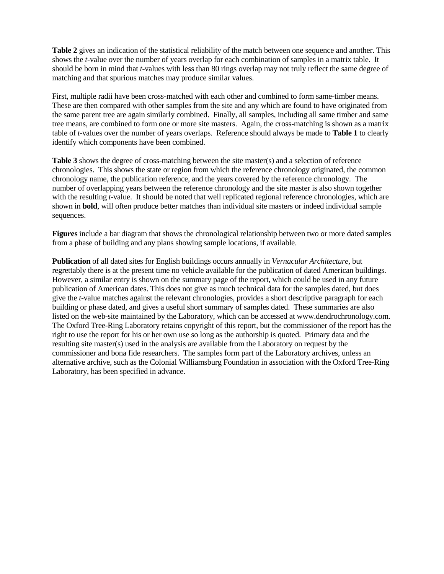**Table 2** gives an indication of the statistical reliability of the match between one sequence and another. This shows the *t*-value over the number of years overlap for each combination of samples in a matrix table. It should be born in mind that *t*-values with less than 80 rings overlap may not truly reflect the same degree of matching and that spurious matches may produce similar values.

First, multiple radii have been cross-matched with each other and combined to form same-timber means. These are then compared with other samples from the site and any which are found to have originated from the same parent tree are again similarly combined. Finally, all samples, including all same timber and same tree means, are combined to form one or more site masters. Again, the cross-matching is shown as a matrix table of *t*-values over the number of years overlaps. Reference should always be made to **Table 1** to clearly identify which components have been combined.

**Table 3** shows the degree of cross-matching between the site master(s) and a selection of reference chronologies. This shows the state or region from which the reference chronology originated, the common chronology name, the publication reference, and the years covered by the reference chronology. The number of overlapping years between the reference chronology and the site master is also shown together with the resulting *t*-value. It should be noted that well replicated regional reference chronologies, which are shown in **bold**, will often produce better matches than individual site masters or indeed individual sample sequences.

**Figures** include a bar diagram that shows the chronological relationship between two or more dated samples from a phase of building and any plans showing sample locations, if available.

**Publication** of all dated sites for English buildings occurs annually in *Vernacular Architecture*, but regrettably there is at the present time no vehicle available for the publication of dated American buildings. However, a similar entry is shown on the summary page of the report, which could be used in any future publication of American dates. This does not give as much technical data for the samples dated, but does give the *t*-value matches against the relevant chronologies, provides a short descriptive paragraph for each building or phase dated, and gives a useful short summary of samples dated. These summaries are also listed on the web-site maintained by the Laboratory, which can be accessed at www.dendrochronology.com. The Oxford Tree-Ring Laboratory retains copyright of this report, but the commissioner of the report has the right to use the report for his or her own use so long as the authorship is quoted. Primary data and the resulting site master(s) used in the analysis are available from the Laboratory on request by the commissioner and bona fide researchers. The samples form part of the Laboratory archives, unless an alternative archive, such as the Colonial Williamsburg Foundation in association with the Oxford Tree-Ring Laboratory, has been specified in advance.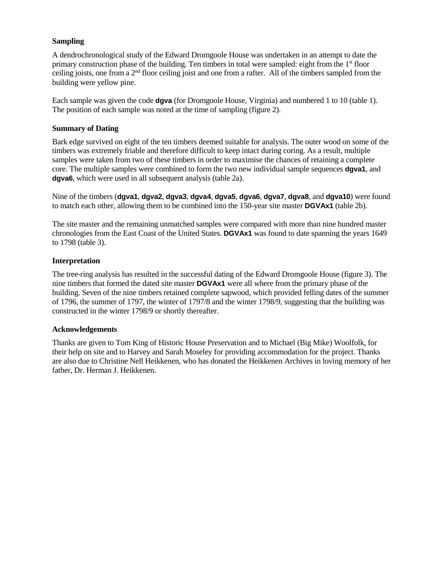## **Sampling**

A dendrochronological study of the Edward Dromgoole House was undertaken in an attempt to date the primary construction phase of the building. Ten timbers in total were sampled: eight from the 1st floor ceiling joists, one from a  $2<sup>nd</sup>$  floor ceiling joist and one from a rafter. All of the timbers sampled from the building were yellow pine.

Each sample was given the code **dgva** (for Dromgoole House, Virginia) and numbered 1 to 10 (table 1). The position of each sample was noted at the time of sampling (figure 2).

#### **Summary of Dating**

Bark edge survived on eight of the ten timbers deemed suitable for analysis. The outer wood on some of the timbers was extremely friable and therefore difficult to keep intact during coring. As a result, multiple samples were taken from two of these timbers in order to maximise the chances of retaining a complete core. The multiple samples were combined to form the two new individual sample sequences **dgva1**, and **dgva6**, which were used in all subsequent analysis (table 2a).

Nine of the timbers (**dgva1**, **dgva2**, **dgva3**, **dgva4**, **dgva5**, **dgva6**, **dgva7**, **dgva8**, and **dgva10**) were found to match each other, allowing them to be combined into the 150-year site master **DGVAx1** (table 2b).

The site master and the remaining unmatched samples were compared with more than nine hundred master chronologies from the East Coast of the United States. **DGVAx1** was found to date spanning the years 1649 to 1798 (table 3).

### **Interpretation**

The tree-ring analysis has resulted in the successful dating of the Edward Dromgoole House (figure 3). The nine timbers that formed the dated site master **DGVAx1** were all where from the primary phase of the building. Seven of the nine timbers retained complete sapwood, which provided felling dates of the summer of 1796, the summer of 1797, the winter of 1797/8 and the winter 1798/9, suggesting that the building was constructed in the winter 1798/9 or shortly thereafter.

#### **Acknowledgements**

Thanks are given to Tom King of Historic House Preservation and to Michael (Big Mike) Woolfolk, for their help on site and to Harvey and Sarah Moseley for providing accommodation for the project. Thanks are also due to Christine Nell Heikkenen, who has donated the Heikkenen Archives in loving memory of her father, Dr. Herman J. Heikkenen.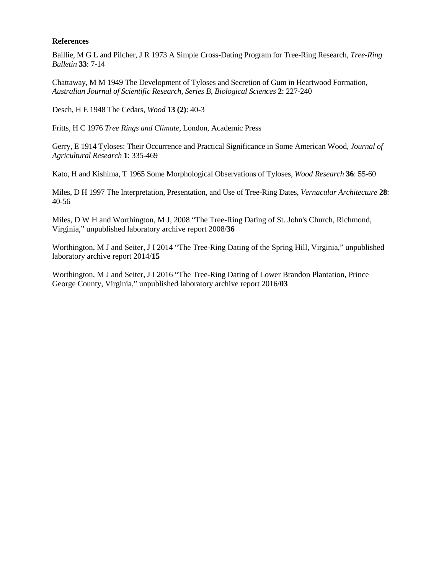#### **References**

Baillie, M G L and Pilcher, J R 1973 A Simple Cross-Dating Program for Tree-Ring Research, *Tree-Ring Bulletin* **33**: 7-14

Chattaway, M M 1949 The Development of Tyloses and Secretion of Gum in Heartwood Formation, *Australian Journal of Scientific Research, Series B, Biological Sciences* **2**: 227-240

Desch, H E 1948 The Cedars, *Wood* **13 (2)**: 40-3

Fritts, H C 1976 *Tree Rings and Climate*, London, Academic Press

Gerry, E 1914 Tyloses: Their Occurrence and Practical Significance in Some American Wood, *Journal of Agricultural Research* **1**: 335-469

Kato, H and Kishima, T 1965 Some Morphological Observations of Tyloses, *Wood Research* **36**: 55-60

Miles, D H 1997 The Interpretation, Presentation, and Use of Tree-Ring Dates, *Vernacular Architecture* **28**: 40-56

Miles, D W H and Worthington, M J, 2008 "The Tree-Ring Dating of St. John's Church, Richmond, Virginia," unpublished laboratory archive report 2008/**36**

Worthington, M J and Seiter, J I 2014 "The Tree-Ring Dating of the Spring Hill, Virginia," unpublished laboratory archive report 2014/**15**

Worthington, M J and Seiter, J I 2016 "The Tree-Ring Dating of Lower Brandon Plantation, Prince George County, Virginia," unpublished laboratory archive report 2016/**03**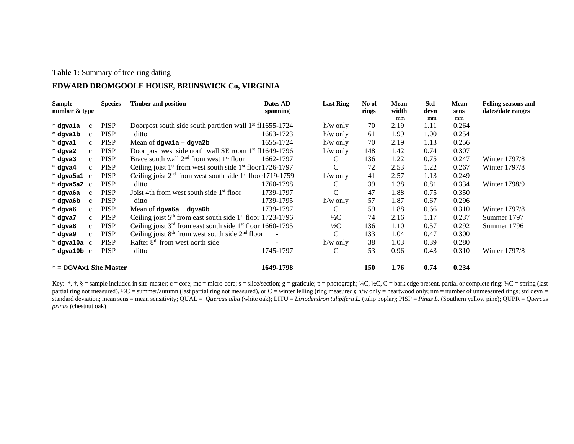#### **Table 1:** Summary of tree-ring dating

## **EDWARD DROMGOOLE HOUSE, BRUNSWICK Co, VIRGINIA**

| <b>Sample</b>            |              | <b>Species</b> | <b>Timber and position</b>                                         | Dates AD  | <b>Last Ring</b> | No of | <b>Mean</b> | <b>Std</b> | Mean  | <b>Felling seasons and</b> |
|--------------------------|--------------|----------------|--------------------------------------------------------------------|-----------|------------------|-------|-------------|------------|-------|----------------------------|
| number & type            |              |                |                                                                    | spanning  |                  | rings | width       | devn       | sens  | dates/date ranges          |
|                          |              |                |                                                                    |           |                  |       | mm          | mm         | mm    |                            |
| * dgva1a                 | $\mathbf{c}$ | <b>PISP</b>    | Doorpost south side south partition wall $1st$ f11655-1724         |           | $h/w$ only       | 70    | 2.19        | 1.11       | 0.264 |                            |
| * dgva1b                 | $\mathbf{c}$ | <b>PISP</b>    | ditto                                                              | 1663-1723 | $h/w$ only       | 61    | 1.99        | 1.00       | 0.254 |                            |
| * dgva1                  | $\mathbf{C}$ | <b>PISP</b>    | Mean of <b>dgva1a</b> + <b>dgva2b</b>                              | 1655-1724 | $h/w$ only       | 70    | 2.19        | 1.13       | 0.256 |                            |
| * dgva2                  | $\mathbf{c}$ | <b>PISP</b>    | Door post west side north wall SE room 1 <sup>st</sup> f11649-1796 |           | $h/w$ only       | 148   | 1.42        | 0.74       | 0.307 |                            |
| $*$ dgva3                | $\mathbf{C}$ | <b>PISP</b>    | Brace south wall $2nd$ from west $1st$ floor                       | 1662-1797 | C                | 136   | 1.22        | 0.75       | 0.247 | Winter 1797/8              |
| * dgva4                  | $\mathbf{C}$ | <b>PISP</b>    | Ceiling joist $1st$ from west south side $1st$ floor 1726-1797     |           | C                | 72    | 2.53        | 1.22       | 0.267 | Winter 1797/8              |
| $*$ dgva5a1 $\,$ c       |              | <b>PISP</b>    | Ceiling joist $2nd$ from west south side $1st$ floor1719-1759      |           | $h/w$ only       | 41    | 2.57        | 1.13       | 0.249 |                            |
| $*$ dgva5a2 $\,c$        |              | <b>PISP</b>    | ditto                                                              | 1760-1798 |                  | 39    | 1.38        | 0.81       | 0.334 | Winter 1798/9              |
| * dgva6a                 | $\mathbf{c}$ | <b>PISP</b>    | Joist 4th from west south side 1 <sup>st</sup> floor               | 1739-1797 | C                | 47    | 1.88        | 0.75       | 0.350 |                            |
| * dgva6b                 | $\mathbf{C}$ | <b>PISP</b>    | ditto                                                              | 1739-1795 | $h/w$ only       | 57    | 1.87        | 0.67       | 0.296 |                            |
| * dgva6                  | $\mathbf{C}$ | <b>PISP</b>    | Mean of <b>dqva6a</b> + <b>dqva6b</b>                              | 1739-1797 | С                | 59    | 1.88        | 0.66       | 0.310 | Winter 1797/8              |
| * dgva7                  | $\mathbf{c}$ | <b>PISP</b>    | Ceiling joist $5th$ from east south side $1st$ floor 1723-1796     |           | $\frac{1}{2}C$   | 74    | 2.16        | 1.17       | 0.237 | Summer 1797                |
| * dgva8                  | $\mathbf{c}$ | <b>PISP</b>    | Ceiling joist $3rd$ from east south side $1st$ floor 1660-1795     |           | $\frac{1}{2}C$   | 136   | 1.10        | 0.57       | 0.292 | Summer 1796                |
| * dgva9                  | $\mathbf{c}$ | <b>PISP</b>    | Ceiling joist $8th$ from west south side $2nd$ floor               |           | C                | 133   | 1.04        | 0.47       | 0.300 |                            |
| $*$ dgva10a $\,$ c       |              | <b>PISP</b>    | Rafter 8 <sup>th</sup> from west north side                        |           | $h/w$ only       | 38    | 1.03        | 0.39       | 0.280 |                            |
| $*$ dgva10b $\,$ c       |              | <b>PISP</b>    | ditto                                                              | 1745-1797 | С                | 53    | 0.96        | 0.43       | 0.310 | Winter 1797/8              |
| $* =$ DGVAx1 Site Master |              |                |                                                                    | 1649-1798 |                  | 150   | 1.76        | 0.74       | 0.234 |                            |

Key: \*,  $\dagger$ , § = sample included in site-master; c = core; mc = micro-core; s = slice/section; g = graticule; p = photograph; ¼C, ½C, C = bark edge present, partial or complete ring: ¼C = spring (last partial ring not measured), ½C = summer/autumn (last partial ring not measured), or C = winter felling (ring measured); h/w only = heartwood only; nm = number of unmeasured rings; std devn = standard deviation; mean sens = mean sensitivity; QUAL = *Quercus alba* (white oak); LITU = *Liriodendron tulipifera L.* (tulip poplar); PISP = *Pinus L.* (Southern yellow pine); QUPR = *Quercus prinus* (chestnut oak)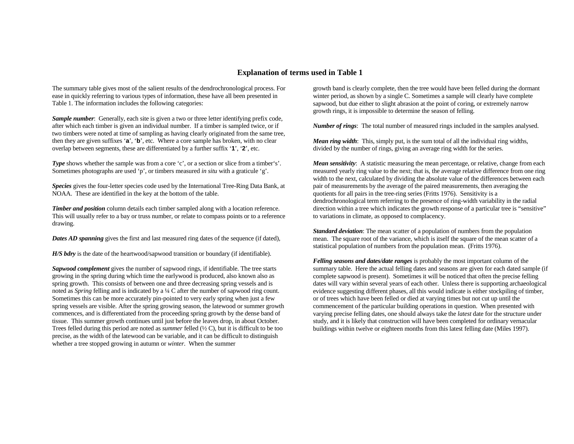#### **Explanation of terms used in Table 1**

The summary table gives most of the salient results of the dendrochronological process. For ease in quickly referring to various types of information, these have all been presented in Table 1. The information includes the following categories:

*Sample number*: Generally, each site is given a two or three letter identifying prefix code, after which each timber is given an individual number. If a timber is sampled twice, or if two timbers were noted at time of sampling as having clearly originated from the same tree, then they are given suffixes '**a**', '**b**', etc. Where a core sample has broken, with no clear overlap between segments, these are differentiated by a further suffix '**1**', '**2**', etc.

*Type* shows whether the sample was from a core 'c', or a section or slice from a timber's'. Sometimes photographs are used 'p', or timbers measured *in situ* with a graticule 'g'.

*Species* gives the four-letter species code used by the International Tree-Ring Data Bank, at NOAA. These are identified in the key at the bottom of the table.

**Timber and position** column details each timber sampled along with a location reference. This will usually refer to a bay or truss number, or relate to compass points or to a reference drawing.

**Dates AD spanning** gives the first and last measured ring dates of the sequence (if dated),

*H/S bdry* is the date of the heartwood/sapwood transition or boundary (if identifiable).

*Sapwood complement* gives the number of sapwood rings, if identifiable. The tree starts growing in the spring during which time the earlywood is produced, also known also as spring growth. This consists of between one and three decreasing spring vessels and is noted as *Spring* felling and is indicated by a ¼ C after the number of sapwood ring count. Sometimes this can be more accurately pin-pointed to very early spring when just a few spring vessels are visible. After the spring growing season, the latewood or summer growth commences, and is differentiated from the proceeding spring growth by the dense band of tissue. This summer growth continues until just before the leaves drop, in about October. Trees felled during this period are noted as *summer* felled (½ C), but it is difficult to be too precise, as the width of the latewood can be variable, and it can be difficult to distinguish whether a tree stopped growing in autumn or *winter*. When the summer

growth band is clearly complete, then the tree would have been felled during the dormant winter period, as shown by a single C. Sometimes a sample will clearly have complete sapwood, but due either to slight abrasion at the point of coring, or extremely narrow growth rings, it is impossible to determine the season of felling.

*Number of rings*: The total number of measured rings included in the samples analysed.

*Mean ring width*: This, simply put, is the sum total of all the individual ring widths, divided by the number of rings, giving an average ring width for the series.

*Mean sensitivity*: A statistic measuring the mean percentage, or relative, change from each measured yearly ring value to the next; that is, the average relative difference from one ring width to the next, calculated by dividing the absolute value of the differences between each pair of measurements by the average of the paired measurements, then averaging the quotients for all pairs in the tree-ring series (Fritts 1976). Sensitivity is a dendrochronological term referring to the presence of ring-width variability in the radial direction within a tree which indicates the growth response of a particular tree is "sensitive" to variations in climate, as opposed to complacency.

*Standard deviation*: The mean scatter of a population of numbers from the population mean. The square root of the variance, which is itself the square of the mean scatter of a statistical population of numbers from the population mean. (Fritts 1976).

*Felling seasons and dates/date ranges* is probably the most important column of the summary table. Here the actual felling dates and seasons are given for each dated sample (if complete sapwood is present). Sometimes it will be noticed that often the precise felling dates will vary within several years of each other. Unless there is supporting archaeological evidence suggesting different phases, all this would indicate is either stockpiling of timber, or of trees which have been felled or died at varying times but not cut up until the commencement of the particular building operations in question. When presented with varying precise felling dates, one should always take the *latest* date for the structure under study, and it is likely that construction will have been completed for ordinary vernacular buildings within twelve or eighteen months from this latest felling date (Miles 1997).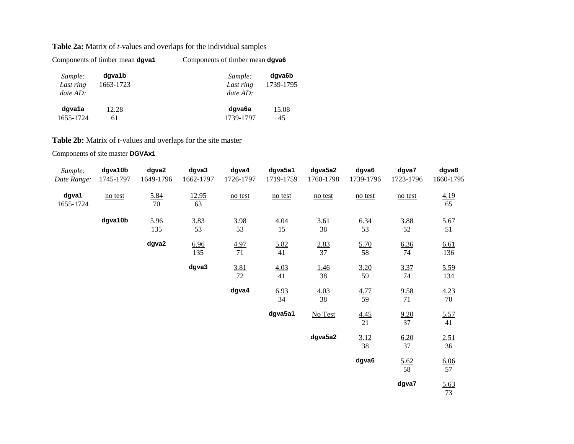## **Table 2a:** Matrix of *t*-values and overlaps for the individual samples

|                                    | Components of timber mean dgva1 | Components of timber mean dgva6    |                     |  |  |
|------------------------------------|---------------------------------|------------------------------------|---------------------|--|--|
| Sample:<br>Last ring<br>$date$ AD: | dgva1b<br>1663-1723             | Sample:<br>Last ring<br>$date$ AD: | dgva6b<br>1739-1795 |  |  |
| dgva1a<br>1655-1724                | 12.28<br>61                     | dgva6a<br>1739-1797                | 15.08<br>45         |  |  |

# **Table 2b:** Matrix of *t*-values and overlaps for the site master

Components of site master **DGVAx1** 

| Sample:<br>Date Range: | dgva10b<br>1745-1797 | dgva2<br>1649-1796 | dgva3<br>1662-1797 | dgva4<br>1726-1797 | dgva5a1<br>1719-1759 | dgva5a2<br>1760-1798 | dgva6<br>1739-1796 | dgva7<br>1723-1796 | dgva8<br>1660-1795 |
|------------------------|----------------------|--------------------|--------------------|--------------------|----------------------|----------------------|--------------------|--------------------|--------------------|
| dgva1<br>1655-1724     | no test              | 5.84<br>70         | 12.95<br>63        | no test            | no test              | no test              | no test            | no test            | 4.19<br>65         |
|                        | dgva10b              | 5.96<br>135        | $\frac{3.83}{53}$  | $\frac{3.98}{53}$  | $\frac{4.04}{15}$    | $\frac{3.61}{38}$    | $\frac{6.34}{53}$  | $\frac{3.88}{52}$  | $\frac{5.67}{51}$  |
|                        |                      | dgva2              | 6.96<br>135        | $\frac{4.97}{71}$  | 5.82<br>41           | $\frac{2.83}{37}$    | $\frac{5.70}{58}$  | $\frac{6.36}{74}$  | 6.61<br>136        |
|                        |                      |                    | dgva3              | 3.81<br>72         | 4.03<br>41           | <u>1.46</u><br>38    | $\frac{3.20}{59}$  | $\frac{3.37}{74}$  | 5.59<br>134        |
|                        |                      |                    |                    | dgva4              | $\frac{6.93}{34}$    | $\frac{4.03}{38}$    | $\frac{4.77}{59}$  | $\frac{9.58}{71}$  | $\frac{4.23}{70}$  |
|                        |                      |                    |                    |                    | dgva5a1              | No Test              | $\frac{4.45}{21}$  | $\frac{9.20}{37}$  | $\frac{5.57}{41}$  |
|                        |                      |                    |                    |                    |                      | dgva5a2              | 3.12<br>38         | $\frac{6.20}{37}$  | 2.51<br>36         |
|                        |                      |                    |                    |                    |                      |                      | dgva6              | $\frac{5.62}{58}$  | $\frac{6.06}{57}$  |
|                        |                      |                    |                    |                    |                      |                      |                    | dgva7              | $\frac{5.63}{73}$  |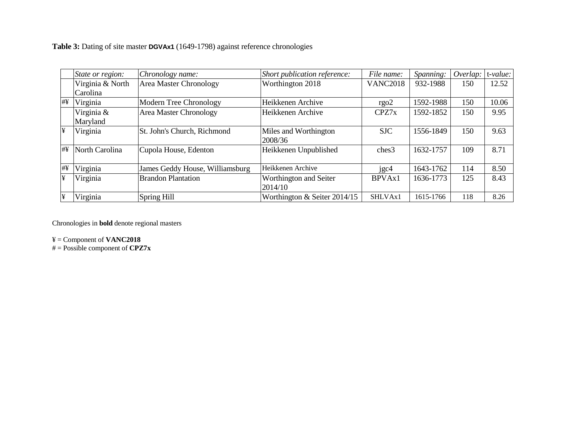**Table 3:** Dating of site master **DGVAx1** (1649-1798) against reference chronologies

|    | State or region: | Chronology name:                | Short publication reference:   | File name:      | Spanning: | Overlap. | t-value: |
|----|------------------|---------------------------------|--------------------------------|-----------------|-----------|----------|----------|
|    | Virginia & North | <b>Area Master Chronology</b>   | Worthington 2018               | <b>VANC2018</b> | 932-1988  | 150      | 12.52    |
|    | Carolina         |                                 |                                |                 |           |          |          |
| #¥ | Virginia         | Modern Tree Chronology          | Heikkenen Archive              | rgo2            | 1592-1988 | 150      | 10.06    |
|    | Virginia &       | <b>Area Master Chronology</b>   | Heikkenen Archive              | CPZ7x           | 1592-1852 | 150      | 9.95     |
|    | Maryland         |                                 |                                |                 |           |          |          |
| ¥  | Virginia         | St. John's Church, Richmond     | Miles and Worthington          | <b>SJC</b>      | 1556-1849 | 150      | 9.63     |
|    |                  |                                 | 2008/36                        |                 |           |          |          |
| #Y | North Carolina   | Cupola House, Edenton           | Heikkenen Unpublished          | ches3           | 1632-1757 | 109      | 8.71     |
|    |                  |                                 |                                |                 |           |          |          |
| #¥ | Virginia         | James Geddy House, Williamsburg | Heikkenen Archive              | jgc4            | 1643-1762 | 114      | 8.50     |
| ¥  | Virginia         | <b>Brandon Plantation</b>       | Worthington and Seiter         | BPVAx1          | 1636-1773 | 125      | 8.43     |
|    |                  |                                 | 2014/10                        |                 |           |          |          |
| ¥  | Virginia         | Spring Hill                     | Worthington $&$ Seiter 2014/15 | SHLVAx1         | 1615-1766 | 118      | 8.26     |

Chronologies in **bold** denote regional masters

¥ = Component of **VANC2018**

# = Possible component of **CPZ7x**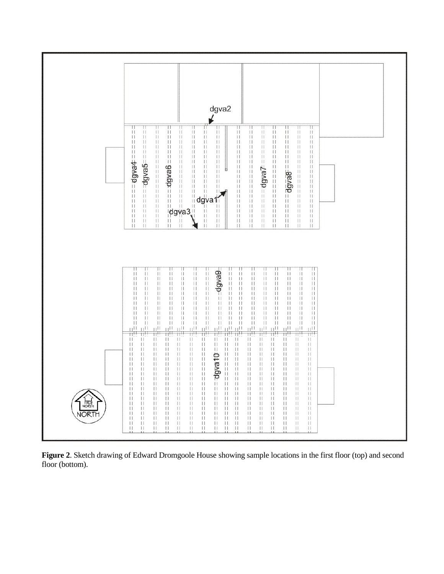

**Figure 2**. Sketch drawing of Edward Dromgoole House showing sample locations in the first floor (top) and second floor (bottom).